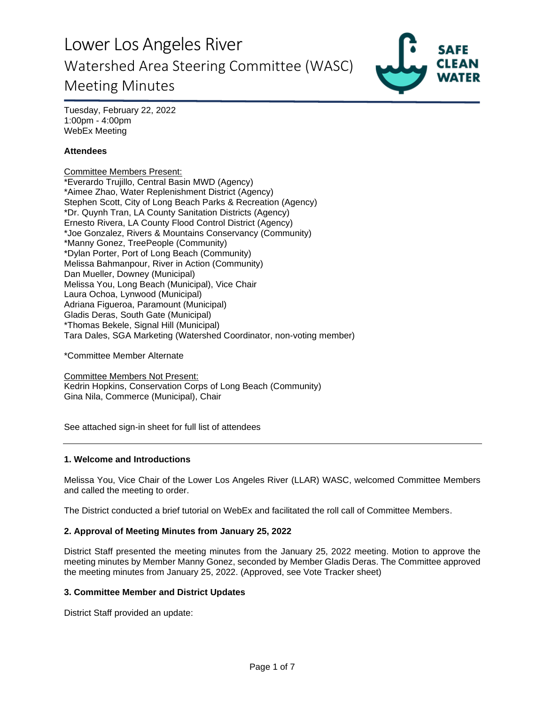

Tuesday, February 22, 2022 1:00pm - 4:00pm WebEx Meeting

### **Attendees**

Committee Members Present: \*Everardo Trujillo, Central Basin MWD (Agency) \*Aimee Zhao, Water Replenishment District (Agency) Stephen Scott, City of Long Beach Parks & Recreation (Agency) \*Dr. Quynh Tran, LA County Sanitation Districts (Agency) Ernesto Rivera, LA County Flood Control District (Agency) \*Joe Gonzalez, Rivers & Mountains Conservancy (Community) \*Manny Gonez, TreePeople (Community) \*Dylan Porter, Port of Long Beach (Community) Melissa Bahmanpour, River in Action (Community) Dan Mueller, Downey (Municipal) Melissa You, Long Beach (Municipal), Vice Chair Laura Ochoa, Lynwood (Municipal) Adriana Figueroa, Paramount (Municipal) Gladis Deras, South Gate (Municipal) \*Thomas Bekele, Signal Hill (Municipal) Tara Dales, SGA Marketing (Watershed Coordinator, non-voting member)

\*Committee Member Alternate

Committee Members Not Present: Kedrin Hopkins, Conservation Corps of Long Beach (Community) Gina Nila, Commerce (Municipal), Chair

See attached sign-in sheet for full list of attendees

#### **1. Welcome and Introductions**

Melissa You, Vice Chair of the Lower Los Angeles River (LLAR) WASC, welcomed Committee Members and called the meeting to order.

The District conducted a brief tutorial on WebEx and facilitated the roll call of Committee Members.

### **2. Approval of Meeting Minutes from January 25, 2022**

District Staff presented the meeting minutes from the January 25, 2022 meeting. Motion to approve the meeting minutes by Member Manny Gonez, seconded by Member Gladis Deras. The Committee approved the meeting minutes from January 25, 2022. (Approved, see Vote Tracker sheet)

#### **3. Committee Member and District Updates**

District Staff provided an update: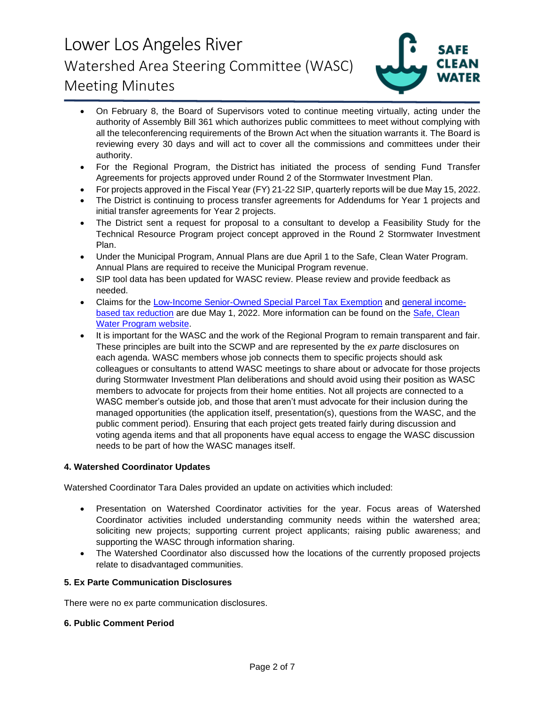

- On February 8, the Board of Supervisors voted to continue meeting virtually, acting under the authority of Assembly Bill 361 which authorizes public committees to meet without complying with all the teleconferencing requirements of the Brown Act when the situation warrants it. The Board is reviewing every 30 days and will act to cover all the commissions and committees under their authority.
- For the Regional Program, the District has initiated the process of sending Fund Transfer Agreements for projects approved under Round 2 of the Stormwater Investment Plan.
- For projects approved in the Fiscal Year (FY) 21-22 SIP, quarterly reports will be due May 15, 2022.
- The District is continuing to process transfer agreements for Addendums for Year 1 projects and initial transfer agreements for Year 2 projects.
- The District sent a request for proposal to a consultant to develop a Feasibility Study for the Technical Resource Program project concept approved in the Round 2 Stormwater Investment Plan.
- Under the Municipal Program, Annual Plans are due April 1 to the Safe, Clean Water Program. Annual Plans are required to receive the Municipal Program revenue.
- SIP tool data has been updated for WASC review. Please review and provide feedback as needed.
- Claims for the [Low-Income Senior-Owned Special Parcel Tax Exemption](https://safecleanwaterla.org/wp-content/uploads/2021/06/Low-Income-Senior-Owned-Parcel-Application-20210621.pdf) and [general income](https://safecleanwaterla.org/wp-content/uploads/2021/06/General-Income-Based-Tax-Reduction-Application-20210607.pdf)[based tax reduction](https://safecleanwaterla.org/wp-content/uploads/2021/06/General-Income-Based-Tax-Reduction-Application-20210607.pdf) are due May 1, 2022. More information can be found on the Safe, Clean [Water Program website.](https://safecleanwaterla.org/resources/tools/)
- It is important for the WASC and the work of the Regional Program to remain transparent and fair. These principles are built into the SCWP and are represented by the *ex parte* disclosures on each agenda. WASC members whose job connects them to specific projects should ask colleagues or consultants to attend WASC meetings to share about or advocate for those projects during Stormwater Investment Plan deliberations and should avoid using their position as WASC members to advocate for projects from their home entities. Not all projects are connected to a WASC member's outside job, and those that aren't must advocate for their inclusion during the managed opportunities (the application itself, presentation(s), questions from the WASC, and the public comment period). Ensuring that each project gets treated fairly during discussion and voting agenda items and that all proponents have equal access to engage the WASC discussion needs to be part of how the WASC manages itself.

### **4. Watershed Coordinator Updates**

Watershed Coordinator Tara Dales provided an update on activities which included:

- Presentation on Watershed Coordinator activities for the year. Focus areas of Watershed Coordinator activities included understanding community needs within the watershed area; soliciting new projects; supporting current project applicants; raising public awareness; and supporting the WASC through information sharing.
- The Watershed Coordinator also discussed how the locations of the currently proposed projects relate to disadvantaged communities.

### **5. Ex Parte Communication Disclosures**

There were no ex parte communication disclosures.

#### **6. Public Comment Period**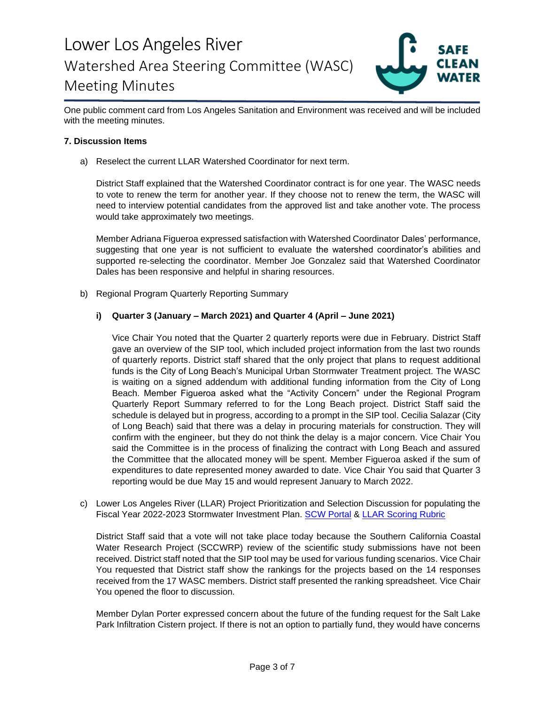

One public comment card from Los Angeles Sanitation and Environment was received and will be included with the meeting minutes.

### **7. Discussion Items**

a) Reselect the current LLAR Watershed Coordinator for next term.

District Staff explained that the Watershed Coordinator contract is for one year. The WASC needs to vote to renew the term for another year. If they choose not to renew the term, the WASC will need to interview potential candidates from the approved list and take another vote. The process would take approximately two meetings.

Member Adriana Figueroa expressed satisfaction with Watershed Coordinator Dales' performance, suggesting that one year is not sufficient to evaluate the watershed coordinator's abilities and supported re-selecting the coordinator. Member Joe Gonzalez said that Watershed Coordinator Dales has been responsive and helpful in sharing resources.

b) Regional Program Quarterly Reporting Summary

### **i) Quarter 3 (January – March 2021) and Quarter 4 (April – June 2021)**

Vice Chair You noted that the Quarter 2 quarterly reports were due in February. District Staff gave an overview of the SIP tool, which included project information from the last two rounds of quarterly reports. District staff shared that the only project that plans to request additional funds is the City of Long Beach's Municipal Urban Stormwater Treatment project. The WASC is waiting on a signed addendum with additional funding information from the City of Long Beach. Member Figueroa asked what the "Activity Concern" under the Regional Program Quarterly Report Summary referred to for the Long Beach project. District Staff said the schedule is delayed but in progress, according to a prompt in the SIP tool. Cecilia Salazar (City of Long Beach) said that there was a delay in procuring materials for construction. They will confirm with the engineer, but they do not think the delay is a major concern. Vice Chair You said the Committee is in the process of finalizing the contract with Long Beach and assured the Committee that the allocated money will be spent. Member Figueroa asked if the sum of expenditures to date represented money awarded to date. Vice Chair You said that Quarter 3 reporting would be due May 15 and would represent January to March 2022.

c) Lower Los Angeles River (LLAR) Project Prioritization and Selection Discussion for populating the Fiscal Year 2022-2023 Stormwater Investment Plan. [SCW Portal](https://portal.safecleanwaterla.org/scw-reporting/map) & [LLAR Scoring Rubric](https://safecleanwaterla.org/wp-content/uploads/2022/01/LLAR-Scoring-Rubric.pdf)

District Staff said that a vote will not take place today because the Southern California Coastal Water Research Project (SCCWRP) review of the scientific study submissions have not been received. District staff noted that the SIP tool may be used for various funding scenarios. Vice Chair You requested that District staff show the rankings for the projects based on the 14 responses received from the 17 WASC members. District staff presented the ranking spreadsheet. Vice Chair You opened the floor to discussion.

Member Dylan Porter expressed concern about the future of the funding request for the Salt Lake Park Infiltration Cistern project. If there is not an option to partially fund, they would have concerns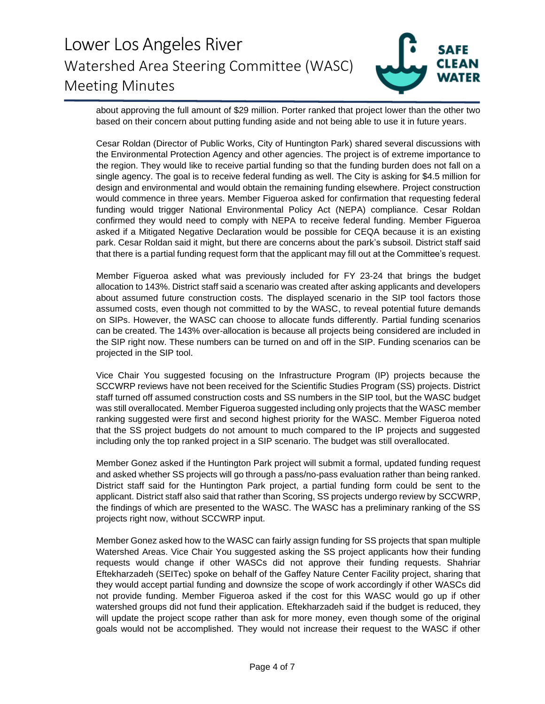

about approving the full amount of \$29 million. Porter ranked that project lower than the other two based on their concern about putting funding aside and not being able to use it in future years.

Cesar Roldan (Director of Public Works, City of Huntington Park) shared several discussions with the Environmental Protection Agency and other agencies. The project is of extreme importance to the region. They would like to receive partial funding so that the funding burden does not fall on a single agency. The goal is to receive federal funding as well. The City is asking for \$4.5 million for design and environmental and would obtain the remaining funding elsewhere. Project construction would commence in three years. Member Figueroa asked for confirmation that requesting federal funding would trigger National Environmental Policy Act (NEPA) compliance. Cesar Roldan confirmed they would need to comply with NEPA to receive federal funding. Member Figueroa asked if a Mitigated Negative Declaration would be possible for CEQA because it is an existing park. Cesar Roldan said it might, but there are concerns about the park's subsoil. District staff said that there is a partial funding request form that the applicant may fill out at the Committee's request.

Member Figueroa asked what was previously included for FY 23-24 that brings the budget allocation to 143%. District staff said a scenario was created after asking applicants and developers about assumed future construction costs. The displayed scenario in the SIP tool factors those assumed costs, even though not committed to by the WASC, to reveal potential future demands on SIPs. However, the WASC can choose to allocate funds differently. Partial funding scenarios can be created. The 143% over-allocation is because all projects being considered are included in the SIP right now. These numbers can be turned on and off in the SIP. Funding scenarios can be projected in the SIP tool.

Vice Chair You suggested focusing on the Infrastructure Program (IP) projects because the SCCWRP reviews have not been received for the Scientific Studies Program (SS) projects. District staff turned off assumed construction costs and SS numbers in the SIP tool, but the WASC budget was still overallocated. Member Figueroa suggested including only projects that the WASC member ranking suggested were first and second highest priority for the WASC. Member Figueroa noted that the SS project budgets do not amount to much compared to the IP projects and suggested including only the top ranked project in a SIP scenario. The budget was still overallocated.

Member Gonez asked if the Huntington Park project will submit a formal, updated funding request and asked whether SS projects will go through a pass/no-pass evaluation rather than being ranked. District staff said for the Huntington Park project, a partial funding form could be sent to the applicant. District staff also said that rather than Scoring, SS projects undergo review by SCCWRP, the findings of which are presented to the WASC. The WASC has a preliminary ranking of the SS projects right now, without SCCWRP input.

Member Gonez asked how to the WASC can fairly assign funding for SS projects that span multiple Watershed Areas. Vice Chair You suggested asking the SS project applicants how their funding requests would change if other WASCs did not approve their funding requests. Shahriar Eftekharzadeh (SEITec) spoke on behalf of the Gaffey Nature Center Facility project, sharing that they would accept partial funding and downsize the scope of work accordingly if other WASCs did not provide funding. Member Figueroa asked if the cost for this WASC would go up if other watershed groups did not fund their application. Eftekharzadeh said if the budget is reduced, they will update the project scope rather than ask for more money, even though some of the original goals would not be accomplished. They would not increase their request to the WASC if other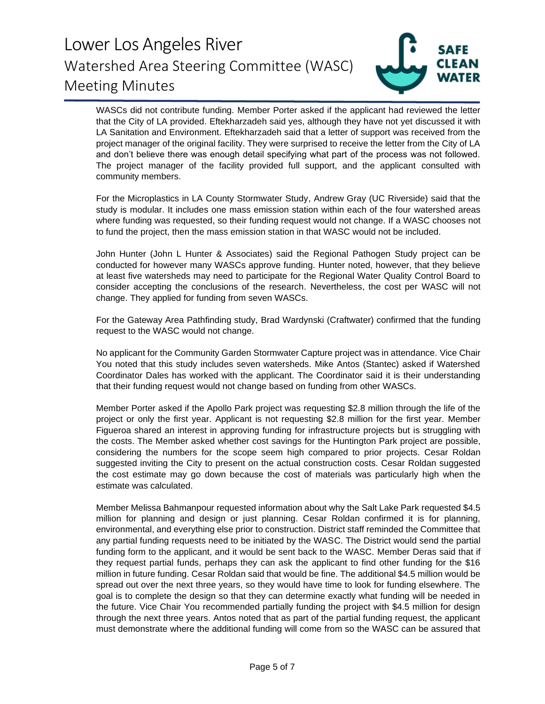

WASCs did not contribute funding. Member Porter asked if the applicant had reviewed the letter that the City of LA provided. Eftekharzadeh said yes, although they have not yet discussed it with LA Sanitation and Environment. Eftekharzadeh said that a letter of support was received from the project manager of the original facility. They were surprised to receive the letter from the City of LA and don't believe there was enough detail specifying what part of the process was not followed. The project manager of the facility provided full support, and the applicant consulted with community members.

For the Microplastics in LA County Stormwater Study, Andrew Gray (UC Riverside) said that the study is modular. It includes one mass emission station within each of the four watershed areas where funding was requested, so their funding request would not change. If a WASC chooses not to fund the project, then the mass emission station in that WASC would not be included.

John Hunter (John L Hunter & Associates) said the Regional Pathogen Study project can be conducted for however many WASCs approve funding. Hunter noted, however, that they believe at least five watersheds may need to participate for the Regional Water Quality Control Board to consider accepting the conclusions of the research. Nevertheless, the cost per WASC will not change. They applied for funding from seven WASCs.

For the Gateway Area Pathfinding study, Brad Wardynski (Craftwater) confirmed that the funding request to the WASC would not change.

No applicant for the Community Garden Stormwater Capture project was in attendance. Vice Chair You noted that this study includes seven watersheds. Mike Antos (Stantec) asked if Watershed Coordinator Dales has worked with the applicant. The Coordinator said it is their understanding that their funding request would not change based on funding from other WASCs.

Member Porter asked if the Apollo Park project was requesting \$2.8 million through the life of the project or only the first year. Applicant is not requesting \$2.8 million for the first year. Member Figueroa shared an interest in approving funding for infrastructure projects but is struggling with the costs. The Member asked whether cost savings for the Huntington Park project are possible, considering the numbers for the scope seem high compared to prior projects. Cesar Roldan suggested inviting the City to present on the actual construction costs. Cesar Roldan suggested the cost estimate may go down because the cost of materials was particularly high when the estimate was calculated.

Member Melissa Bahmanpour requested information about why the Salt Lake Park requested \$4.5 million for planning and design or just planning. Cesar Roldan confirmed it is for planning, environmental, and everything else prior to construction. District staff reminded the Committee that any partial funding requests need to be initiated by the WASC. The District would send the partial funding form to the applicant, and it would be sent back to the WASC. Member Deras said that if they request partial funds, perhaps they can ask the applicant to find other funding for the \$16 million in future funding. Cesar Roldan said that would be fine. The additional \$4.5 million would be spread out over the next three years, so they would have time to look for funding elsewhere. The goal is to complete the design so that they can determine exactly what funding will be needed in the future. Vice Chair You recommended partially funding the project with \$4.5 million for design through the next three years. Antos noted that as part of the partial funding request, the applicant must demonstrate where the additional funding will come from so the WASC can be assured that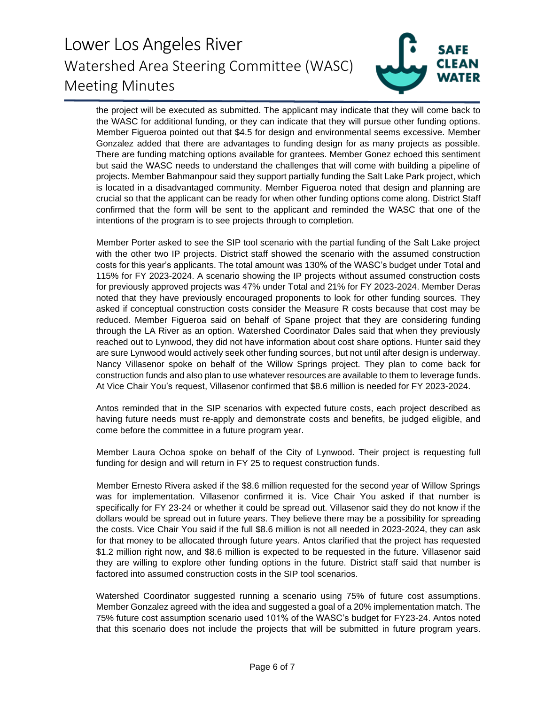

the project will be executed as submitted. The applicant may indicate that they will come back to the WASC for additional funding, or they can indicate that they will pursue other funding options. Member Figueroa pointed out that \$4.5 for design and environmental seems excessive. Member Gonzalez added that there are advantages to funding design for as many projects as possible. There are funding matching options available for grantees. Member Gonez echoed this sentiment but said the WASC needs to understand the challenges that will come with building a pipeline of projects. Member Bahmanpour said they support partially funding the Salt Lake Park project, which is located in a disadvantaged community. Member Figueroa noted that design and planning are crucial so that the applicant can be ready for when other funding options come along. District Staff confirmed that the form will be sent to the applicant and reminded the WASC that one of the intentions of the program is to see projects through to completion.

Member Porter asked to see the SIP tool scenario with the partial funding of the Salt Lake project with the other two IP projects. District staff showed the scenario with the assumed construction costs for this year's applicants. The total amount was 130% of the WASC's budget under Total and 115% for FY 2023-2024. A scenario showing the IP projects without assumed construction costs for previously approved projects was 47% under Total and 21% for FY 2023-2024. Member Deras noted that they have previously encouraged proponents to look for other funding sources. They asked if conceptual construction costs consider the Measure R costs because that cost may be reduced. Member Figueroa said on behalf of Spane project that they are considering funding through the LA River as an option. Watershed Coordinator Dales said that when they previously reached out to Lynwood, they did not have information about cost share options. Hunter said they are sure Lynwood would actively seek other funding sources, but not until after design is underway. Nancy Villasenor spoke on behalf of the Willow Springs project. They plan to come back for construction funds and also plan to use whatever resources are available to them to leverage funds. At Vice Chair You's request, Villasenor confirmed that \$8.6 million is needed for FY 2023-2024.

Antos reminded that in the SIP scenarios with expected future costs, each project described as having future needs must re-apply and demonstrate costs and benefits, be judged eligible, and come before the committee in a future program year.

Member Laura Ochoa spoke on behalf of the City of Lynwood. Their project is requesting full funding for design and will return in FY 25 to request construction funds.

Member Ernesto Rivera asked if the \$8.6 million requested for the second year of Willow Springs was for implementation. Villasenor confirmed it is. Vice Chair You asked if that number is specifically for FY 23-24 or whether it could be spread out. Villasenor said they do not know if the dollars would be spread out in future years. They believe there may be a possibility for spreading the costs. Vice Chair You said if the full \$8.6 million is not all needed in 2023-2024, they can ask for that money to be allocated through future years. Antos clarified that the project has requested \$1.2 million right now, and \$8.6 million is expected to be requested in the future. Villasenor said they are willing to explore other funding options in the future. District staff said that number is factored into assumed construction costs in the SIP tool scenarios.

Watershed Coordinator suggested running a scenario using 75% of future cost assumptions. Member Gonzalez agreed with the idea and suggested a goal of a 20% implementation match. The 75% future cost assumption scenario used 101% of the WASC's budget for FY23-24. Antos noted that this scenario does not include the projects that will be submitted in future program years.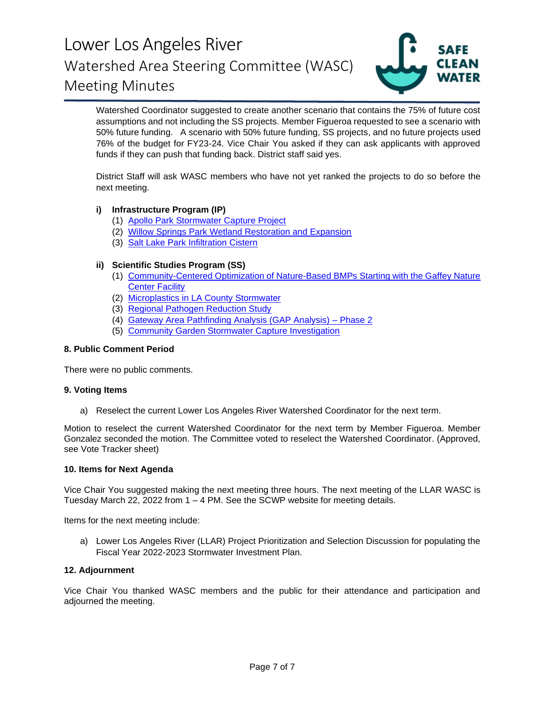

Watershed Coordinator suggested to create another scenario that contains the 75% of future cost assumptions and not including the SS projects. Member Figueroa requested to see a scenario with 50% future funding. A scenario with 50% future funding, SS projects, and no future projects used 76% of the budget for FY23-24. Vice Chair You asked if they can ask applicants with approved funds if they can push that funding back. District staff said yes.

District Staff will ask WASC members who have not yet ranked the projects to do so before the next meeting.

### **i) Infrastructure Program (IP)**

- (1) [Apollo Park Stormwater Capture Project](https://portal.safecleanwaterla.org/projects-module-api/api/summarydownload/pdf/13/235)
- (2) [Willow Springs Park Wetland Restoration and Expansion](https://portal.safecleanwaterla.org/projects-module-api/api/summarydownload/pdf/13/287)
- (3) [Salt Lake Park Infiltration Cistern](https://portal.safecleanwaterla.org/projects-module-api/api/summarydownload/pdf/13/310)

### **ii) Scientific Studies Program (SS)**

- (1) [Community-Centered Optimization of Nature-Based BMPs Starting with the Gaffey Nature](https://portal.safecleanwaterla.org/projects-module-api/api/reportdownload/pdf/21/39) [Center Facility](https://portal.safecleanwaterla.org/projects-module-api/api/reportdownload/pdf/21/39)
- (2) [Microplastics in LA County Stormwater](https://portal.safecleanwaterla.org/projects-module-api/api/reportdownload/pdf/21/51)
- (3) [Regional Pathogen Reduction Study](https://portal.safecleanwaterla.org/projects-module-api/api/summarydownload/pdf/21/16)
- (4) [Gateway Area Pathfinding Analysis \(GAP Analysis\) –](https://portal.safecleanwaterla.org/projects-module-api/api/summarydownload/pdf/21/14) Phase 2
- (5) [Community Garden Stormwater Capture Investigation](https://portal.safecleanwaterla.org/projects-module-api/api/reportdownload/pdf/21/52)

### **8. Public Comment Period**

There were no public comments.

#### **9. Voting Items**

a) Reselect the current Lower Los Angeles River Watershed Coordinator for the next term.

Motion to reselect the current Watershed Coordinator for the next term by Member Figueroa. Member Gonzalez seconded the motion. The Committee voted to reselect the Watershed Coordinator. (Approved, see Vote Tracker sheet)

#### **10. Items for Next Agenda**

Vice Chair You suggested making the next meeting three hours. The next meeting of the LLAR WASC is Tuesday March 22, 2022 from 1 – 4 PM. See the SCWP website for meeting details.

Items for the next meeting include:

a) Lower Los Angeles River (LLAR) Project Prioritization and Selection Discussion for populating the Fiscal Year 2022-2023 Stormwater Investment Plan.

#### **12. Adjournment**

Vice Chair You thanked WASC members and the public for their attendance and participation and adjourned the meeting.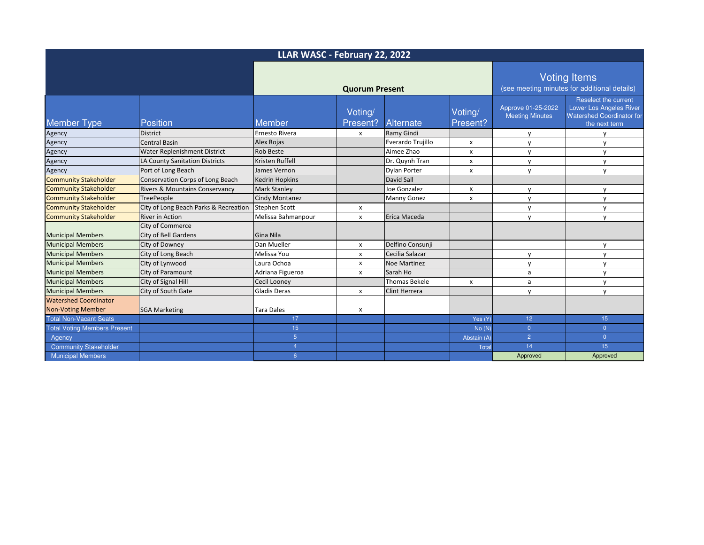| LLAR WASC - February 22, 2022       |                                                 |                       |                     |                      |                                                                     |                                              |                                                                                                      |
|-------------------------------------|-------------------------------------------------|-----------------------|---------------------|----------------------|---------------------------------------------------------------------|----------------------------------------------|------------------------------------------------------------------------------------------------------|
|                                     |                                                 | <b>Quorum Present</b> |                     |                      | <b>Voting Items</b><br>(see meeting minutes for additional details) |                                              |                                                                                                      |
| <b>Member Type</b>                  | <b>Position</b>                                 | Member                | Voting/<br>Present? | Alternate            | Voting/<br>Present?                                                 | Approve 01-25-2022<br><b>Meeting Minutes</b> | Reselect the current<br>Lower Los Angeles River<br><b>Watershed Coordinator for</b><br>the next term |
| Agency                              | <b>District</b>                                 | <b>Ernesto Rivera</b> | $\mathsf{x}$        | <b>Ramy Gindi</b>    |                                                                     | y                                            |                                                                                                      |
| Agency                              | <b>Central Basin</b>                            | Alex Rojas            |                     | Everardo Trujillo    | X                                                                   | y                                            | v                                                                                                    |
| Agency                              | Water Replenishment District                    | <b>Rob Beste</b>      |                     | Aimee Zhao           | $\pmb{\chi}$                                                        | y                                            | $\mathsf{v}$                                                                                         |
| Agency                              | LA County Sanitation Districts                  | Kristen Ruffell       |                     | Dr. Quynh Tran       | X                                                                   | y                                            | y                                                                                                    |
| Agency                              | Port of Long Beach                              | James Vernon          |                     | Dylan Porter         | $\boldsymbol{\mathsf{x}}$                                           | y                                            | $\mathsf{V}$                                                                                         |
| <b>Community Stakeholder</b>        | Conservation Corps of Long Beach                | <b>Kedrin Hopkins</b> |                     | David Sall           |                                                                     |                                              |                                                                                                      |
| <b>Community Stakeholder</b>        | <b>Rivers &amp; Mountains Conservancy</b>       | <b>Mark Stanley</b>   |                     | Joe Gonzalez         | x                                                                   | y                                            | y                                                                                                    |
| <b>Community Stakeholder</b>        | <b>TreePeople</b>                               | <b>Cindy Montanez</b> |                     | <b>Manny Gonez</b>   | $\mathsf{x}$                                                        | y                                            | $\mathsf{V}$                                                                                         |
| <b>Community Stakeholder</b>        | City of Long Beach Parks & Recreation           | <b>Stephen Scott</b>  | x                   |                      |                                                                     | y                                            | y                                                                                                    |
| <b>Community Stakeholder</b>        | <b>River in Action</b>                          | Melissa Bahmanpour    | $\mathsf{x}$        | Erica Maceda         |                                                                     | $\mathsf{v}$                                 | $\mathsf{V}$                                                                                         |
| <b>Municipal Members</b>            | City of Commerce<br><b>City of Bell Gardens</b> | Gina Nila             |                     |                      |                                                                     |                                              |                                                                                                      |
| <b>Municipal Members</b>            | City of Downey                                  | Dan Mueller           | x                   | Delfino Consunji     |                                                                     |                                              | $\mathsf{V}$                                                                                         |
| <b>Municipal Members</b>            | City of Long Beach                              | Melissa You           | X                   | Cecilia Salazar      |                                                                     | y                                            | y                                                                                                    |
| <b>Municipal Members</b>            | City of Lynwood                                 | Laura Ochoa           | $\mathsf{x}$        | <b>Noe Martinez</b>  |                                                                     | y                                            | $\mathsf{v}$                                                                                         |
| <b>Municipal Members</b>            | City of Paramount                               | Adriana Figueroa      | $\mathsf{x}$        | Sarah Ho             |                                                                     | a                                            | $\mathsf{V}$                                                                                         |
| <b>Municipal Members</b>            | City of Signal Hill                             | <b>Cecil Looney</b>   |                     | <b>Thomas Bekele</b> | x                                                                   | a                                            | $\mathsf{V}$                                                                                         |
| <b>Municipal Members</b>            | City of South Gate                              | <b>Gladis Deras</b>   | $\mathsf{x}$        | <b>Clint Herrera</b> |                                                                     | y                                            | y                                                                                                    |
| <b>Watershed Coordinator</b>        |                                                 |                       |                     |                      |                                                                     |                                              |                                                                                                      |
| <b>Non-Voting Member</b>            | <b>SGA Marketing</b>                            | <b>Tara Dales</b>     | x                   |                      |                                                                     |                                              |                                                                                                      |
| <b>Total Non-Vacant Seats</b>       |                                                 | 17                    |                     |                      | Yes (Y)                                                             | 12 <sub>2</sub>                              | 15                                                                                                   |
| <b>Total Voting Members Present</b> |                                                 | 15                    |                     |                      | No(N)                                                               | $\overline{0}$                               | $\overline{0}$                                                                                       |
| Agency                              |                                                 | 5 <sup>5</sup>        |                     |                      | Abstain (A)                                                         | $\overline{2}$                               | $\overline{0}$                                                                                       |
| <b>Community Stakeholder</b>        |                                                 | $\overline{4}$        |                     |                      | Total                                                               | 14                                           | 15                                                                                                   |
| <b>Municipal Members</b>            |                                                 | 6 <sup>1</sup>        |                     |                      |                                                                     | Approved                                     | Approved                                                                                             |